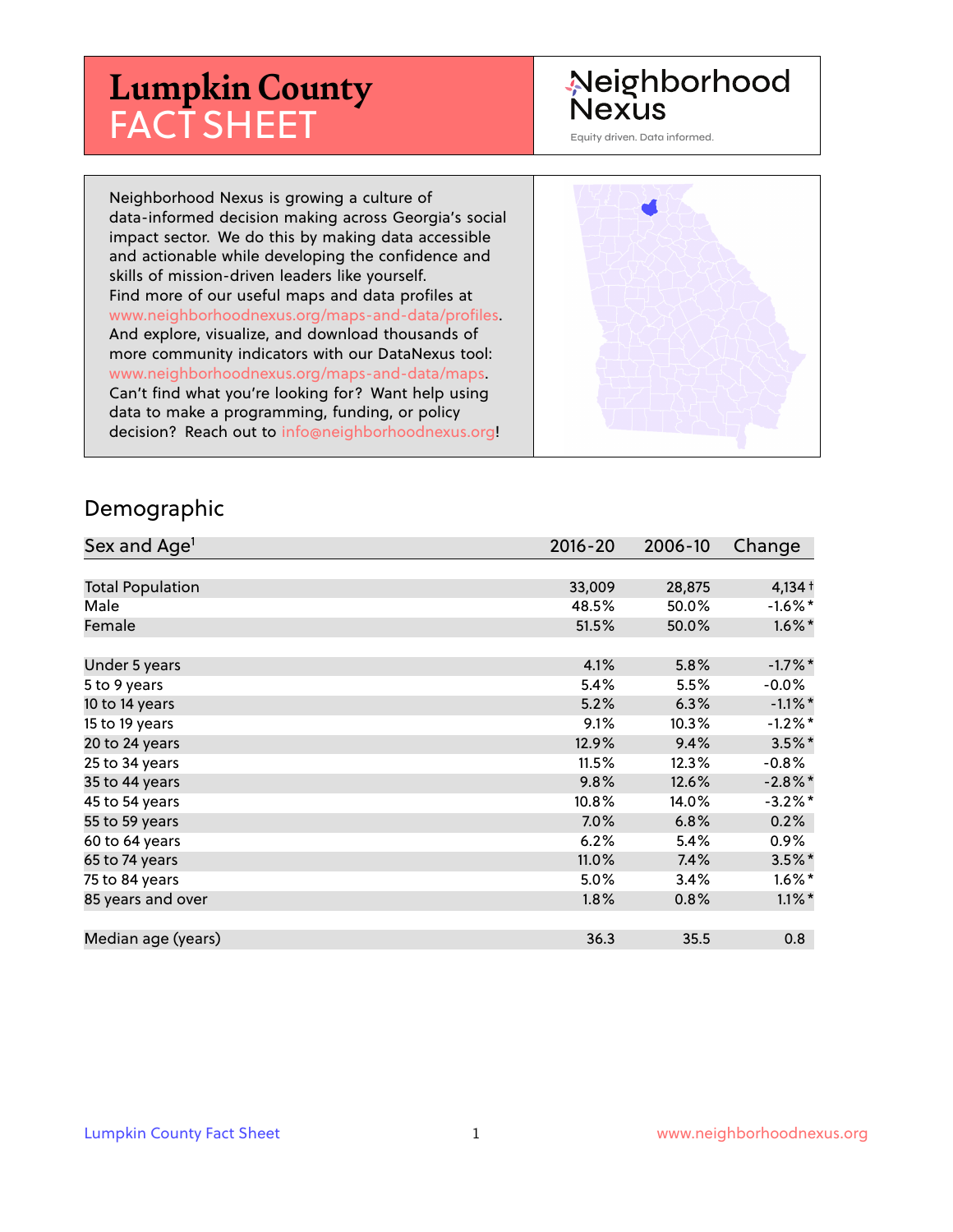# **Lumpkin County** FACT SHEET

# Neighborhood Nexus

Equity driven. Data informed.

Neighborhood Nexus is growing a culture of data-informed decision making across Georgia's social impact sector. We do this by making data accessible and actionable while developing the confidence and skills of mission-driven leaders like yourself. Find more of our useful maps and data profiles at www.neighborhoodnexus.org/maps-and-data/profiles. And explore, visualize, and download thousands of more community indicators with our DataNexus tool: www.neighborhoodnexus.org/maps-and-data/maps. Can't find what you're looking for? Want help using data to make a programming, funding, or policy decision? Reach out to [info@neighborhoodnexus.org!](mailto:info@neighborhoodnexus.org)



#### Demographic

| Sex and Age <sup>1</sup> | $2016 - 20$ | 2006-10 | Change               |
|--------------------------|-------------|---------|----------------------|
|                          |             |         |                      |
| <b>Total Population</b>  | 33,009      | 28,875  | $4,134 +$            |
| Male                     | 48.5%       | 50.0%   | $-1.6\%$ *           |
| Female                   | 51.5%       | 50.0%   | $1.6\%$ *            |
|                          |             |         |                      |
| Under 5 years            | 4.1%        | 5.8%    | $-1.7%$ *            |
| 5 to 9 years             | 5.4%        | 5.5%    | $-0.0\%$             |
| 10 to 14 years           | 5.2%        | 6.3%    | $-1.1\%$ *           |
| 15 to 19 years           | 9.1%        | 10.3%   | $-1.2\%$ *           |
| 20 to 24 years           | 12.9%       | 9.4%    | $3.5\%$ *            |
| 25 to 34 years           | 11.5%       | 12.3%   | $-0.8%$              |
| 35 to 44 years           | 9.8%        | 12.6%   | $-2.8\%$ *           |
| 45 to 54 years           | 10.8%       | 14.0%   | $-3.2\%$ *           |
| 55 to 59 years           | $7.0\%$     | 6.8%    | 0.2%                 |
| 60 to 64 years           | 6.2%        | 5.4%    | $0.9\%$              |
| 65 to 74 years           | 11.0%       | 7.4%    | $3.5\%$ *            |
| 75 to 84 years           | 5.0%        | 3.4%    | $1.6\%$ <sup>*</sup> |
| 85 years and over        | 1.8%        | 0.8%    | $1.1\%$ *            |
|                          |             |         |                      |
| Median age (years)       | 36.3        | 35.5    | 0.8                  |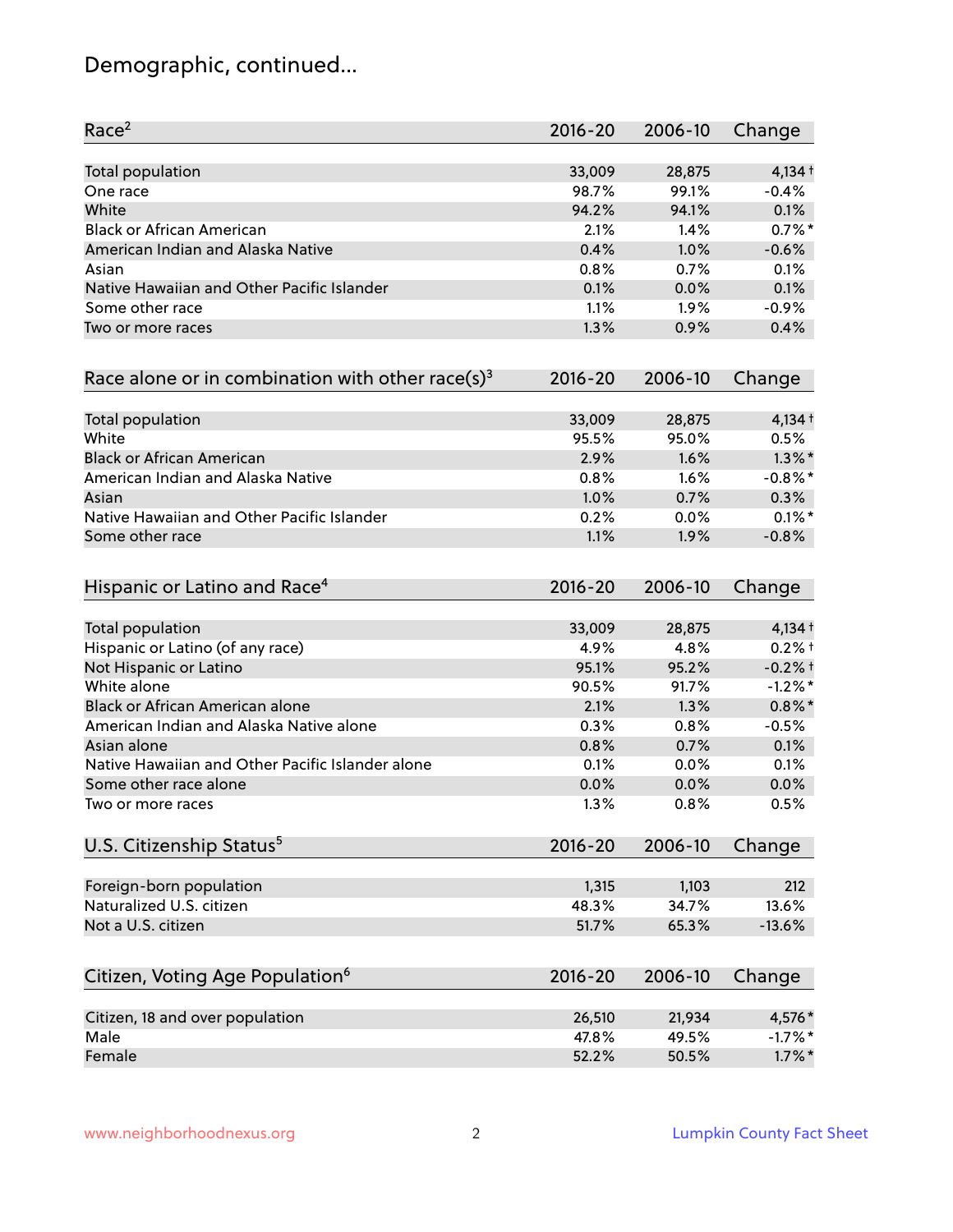# Demographic, continued...

| Race <sup>2</sup>                                            | $2016 - 20$ | 2006-10 | Change     |
|--------------------------------------------------------------|-------------|---------|------------|
| <b>Total population</b>                                      | 33,009      | 28,875  | $4,134+$   |
| One race                                                     | 98.7%       | 99.1%   | $-0.4%$    |
| White                                                        | 94.2%       | 94.1%   | 0.1%       |
| <b>Black or African American</b>                             | 2.1%        | 1.4%    | $0.7%$ *   |
| American Indian and Alaska Native                            | 0.4%        | 1.0%    | $-0.6%$    |
| Asian                                                        | 0.8%        | 0.7%    | 0.1%       |
| Native Hawaiian and Other Pacific Islander                   | 0.1%        | 0.0%    | 0.1%       |
| Some other race                                              | 1.1%        | 1.9%    | $-0.9%$    |
| Two or more races                                            | 1.3%        | 0.9%    | 0.4%       |
| Race alone or in combination with other race(s) <sup>3</sup> | $2016 - 20$ | 2006-10 | Change     |
| Total population                                             | 33,009      | 28,875  | $4,134 +$  |
| White                                                        | 95.5%       | 95.0%   | 0.5%       |
| <b>Black or African American</b>                             | 2.9%        | 1.6%    | $1.3\%$ *  |
| American Indian and Alaska Native                            | 0.8%        | 1.6%    | $-0.8\%$ * |
| Asian                                                        | 1.0%        | 0.7%    | 0.3%       |
| Native Hawaiian and Other Pacific Islander                   | 0.2%        | 0.0%    | $0.1\%$ *  |
| Some other race                                              | 1.1%        | 1.9%    | $-0.8%$    |
| Hispanic or Latino and Race <sup>4</sup>                     | $2016 - 20$ | 2006-10 | Change     |
| <b>Total population</b>                                      | 33,009      | 28,875  | $4,134+$   |
| Hispanic or Latino (of any race)                             | 4.9%        | 4.8%    | $0.2%$ +   |
| Not Hispanic or Latino                                       | 95.1%       | 95.2%   | $-0.2%$ †  |
| White alone                                                  | 90.5%       | 91.7%   | $-1.2\%$ * |
| Black or African American alone                              | 2.1%        | 1.3%    | $0.8\%$ *  |
| American Indian and Alaska Native alone                      | 0.3%        | 0.8%    | $-0.5%$    |
| Asian alone                                                  | 0.8%        | 0.7%    | 0.1%       |
| Native Hawaiian and Other Pacific Islander alone             | 0.1%        | 0.0%    | 0.1%       |
| Some other race alone                                        | 0.0%        | 0.0%    | 0.0%       |
| Two or more races                                            | 1.3%        | 0.8%    | 0.5%       |
| U.S. Citizenship Status <sup>5</sup>                         | $2016 - 20$ | 2006-10 | Change     |
| Foreign-born population                                      | 1,315       | 1,103   | 212        |
| Naturalized U.S. citizen                                     | 48.3%       | 34.7%   | 13.6%      |
| Not a U.S. citizen                                           | 51.7%       | 65.3%   | $-13.6%$   |
|                                                              |             |         |            |
| Citizen, Voting Age Population <sup>6</sup>                  | $2016 - 20$ | 2006-10 | Change     |
| Citizen, 18 and over population                              | 26,510      | 21,934  | 4,576*     |
| Male                                                         | 47.8%       | 49.5%   | $-1.7%$ *  |
| Female                                                       | 52.2%       | 50.5%   | $1.7\%$ *  |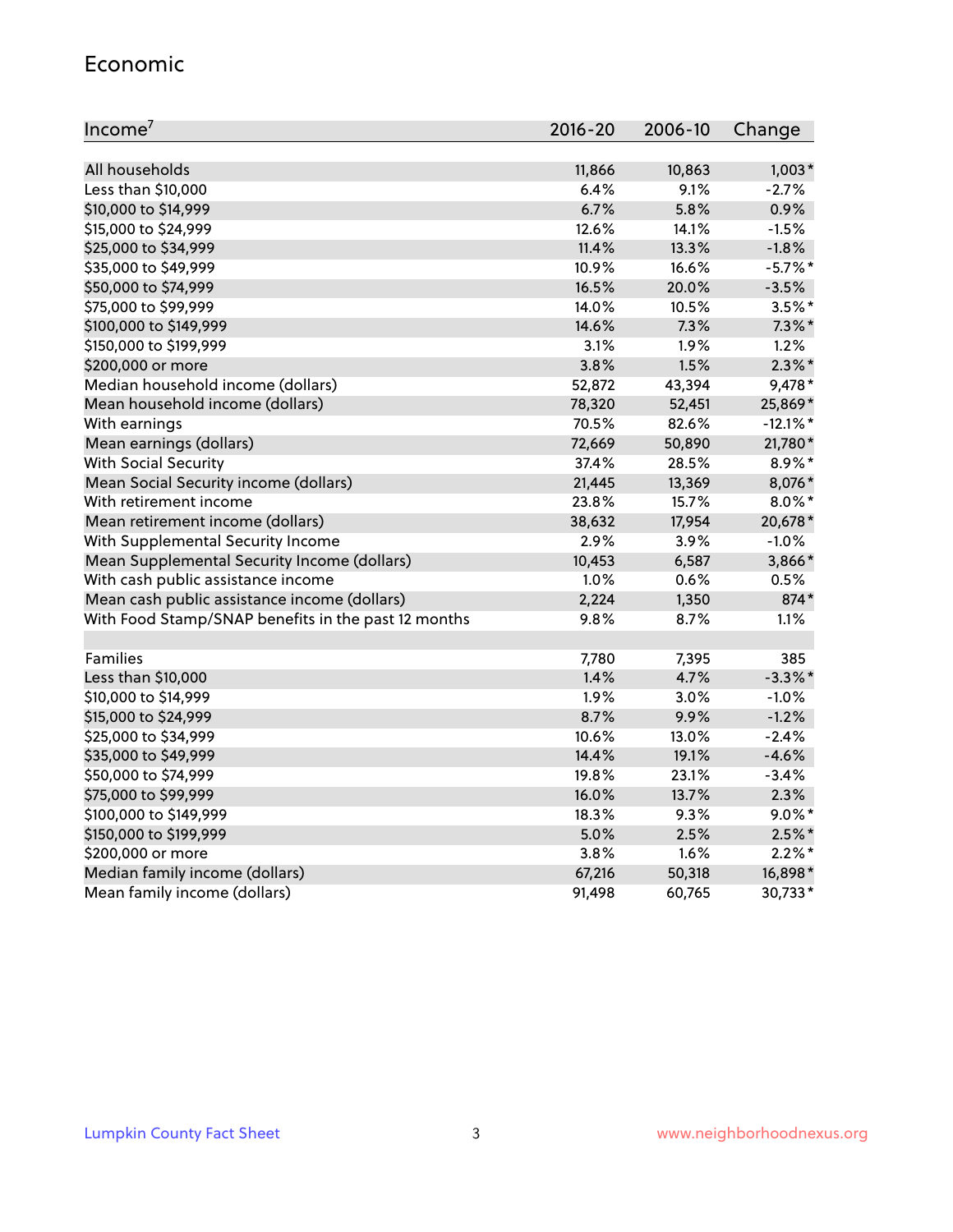#### Economic

| Income <sup>7</sup>                                 | 2016-20 | 2006-10 | Change      |
|-----------------------------------------------------|---------|---------|-------------|
|                                                     |         |         |             |
| All households                                      | 11,866  | 10,863  | $1,003*$    |
| Less than \$10,000                                  | 6.4%    | 9.1%    | $-2.7%$     |
| \$10,000 to \$14,999                                | 6.7%    | 5.8%    | 0.9%        |
| \$15,000 to \$24,999                                | 12.6%   | 14.1%   | $-1.5%$     |
| \$25,000 to \$34,999                                | 11.4%   | 13.3%   | $-1.8%$     |
| \$35,000 to \$49,999                                | 10.9%   | 16.6%   | $-5.7\%$ *  |
| \$50,000 to \$74,999                                | 16.5%   | 20.0%   | $-3.5%$     |
| \$75,000 to \$99,999                                | 14.0%   | 10.5%   | $3.5\%$ *   |
| \$100,000 to \$149,999                              | 14.6%   | 7.3%    | $7.3\%$ *   |
| \$150,000 to \$199,999                              | 3.1%    | 1.9%    | 1.2%        |
| \$200,000 or more                                   | 3.8%    | 1.5%    | $2.3\%$ *   |
| Median household income (dollars)                   | 52,872  | 43,394  | 9,478*      |
| Mean household income (dollars)                     | 78,320  | 52,451  | 25,869*     |
| With earnings                                       | 70.5%   | 82.6%   | $-12.1\%$ * |
| Mean earnings (dollars)                             | 72,669  | 50,890  | 21,780*     |
| <b>With Social Security</b>                         | 37.4%   | 28.5%   | 8.9%*       |
| Mean Social Security income (dollars)               | 21,445  | 13,369  | 8,076*      |
| With retirement income                              | 23.8%   | 15.7%   | $8.0\%$ *   |
| Mean retirement income (dollars)                    | 38,632  | 17,954  | 20,678*     |
| With Supplemental Security Income                   | 2.9%    | 3.9%    | $-1.0%$     |
| Mean Supplemental Security Income (dollars)         | 10,453  | 6,587   | 3,866*      |
| With cash public assistance income                  | 1.0%    | 0.6%    | 0.5%        |
| Mean cash public assistance income (dollars)        | 2,224   | 1,350   | 874*        |
| With Food Stamp/SNAP benefits in the past 12 months | 9.8%    | 8.7%    | 1.1%        |
|                                                     |         |         |             |
| Families                                            | 7,780   | 7,395   | 385         |
| Less than \$10,000                                  | 1.4%    | 4.7%    | $-3.3\%$ *  |
| \$10,000 to \$14,999                                | 1.9%    | 3.0%    | $-1.0%$     |
| \$15,000 to \$24,999                                | 8.7%    | 9.9%    | $-1.2%$     |
| \$25,000 to \$34,999                                | 10.6%   | 13.0%   | $-2.4%$     |
| \$35,000 to \$49,999                                | 14.4%   | 19.1%   | $-4.6%$     |
| \$50,000 to \$74,999                                | 19.8%   | 23.1%   | $-3.4%$     |
| \$75,000 to \$99,999                                | 16.0%   | 13.7%   | 2.3%        |
| \$100,000 to \$149,999                              | 18.3%   | 9.3%    | $9.0\%$ *   |
| \$150,000 to \$199,999                              | 5.0%    | 2.5%    | $2.5\%$ *   |
| \$200,000 or more                                   | 3.8%    | 1.6%    | $2.2\%$ *   |
| Median family income (dollars)                      | 67,216  | 50,318  | 16,898*     |
| Mean family income (dollars)                        | 91,498  | 60,765  | 30,733*     |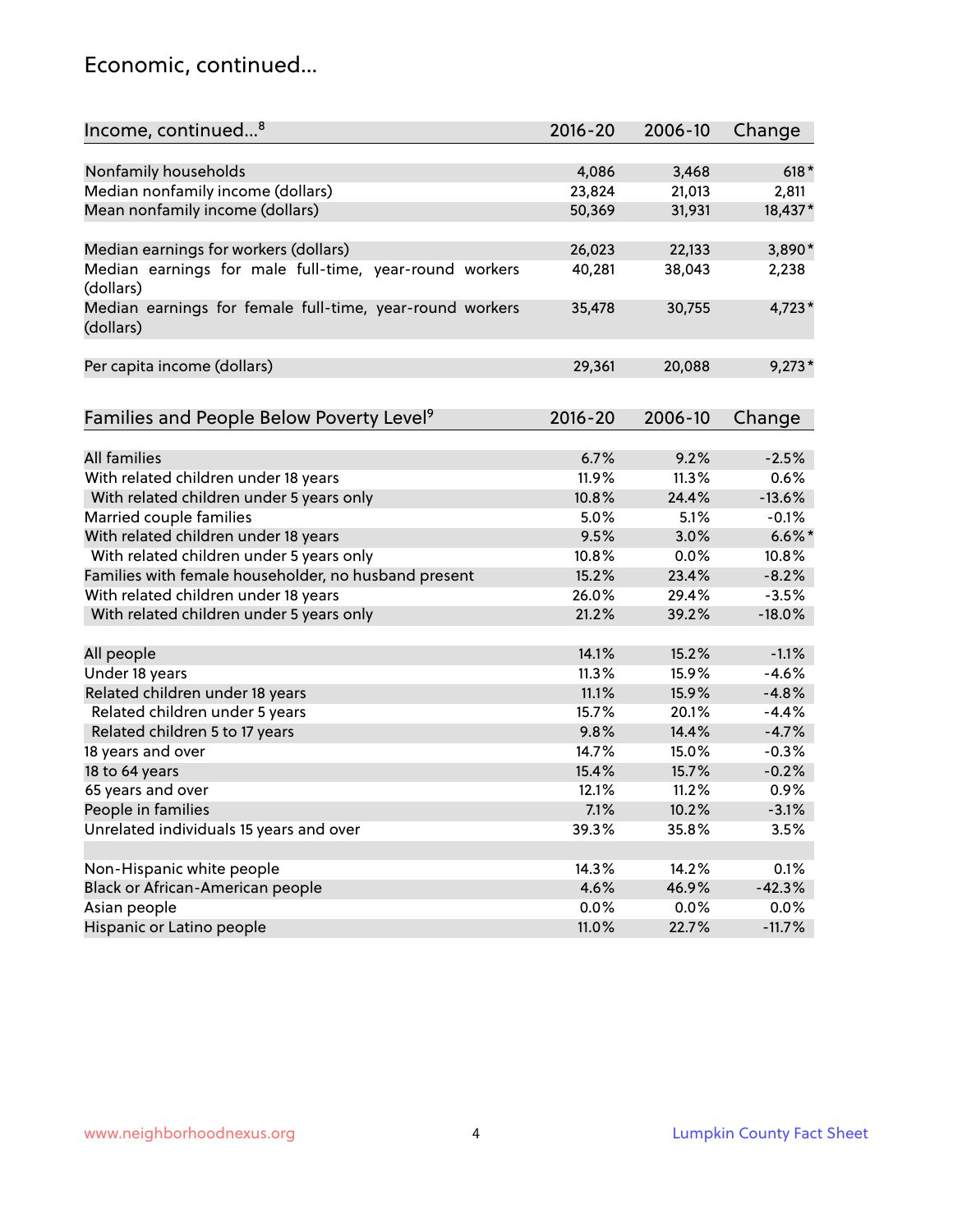### Economic, continued...

| Income, continued <sup>8</sup>                                        | $2016 - 20$ | 2006-10 | Change    |
|-----------------------------------------------------------------------|-------------|---------|-----------|
|                                                                       |             |         |           |
| Nonfamily households                                                  | 4,086       | 3,468   | $618*$    |
| Median nonfamily income (dollars)                                     | 23,824      | 21,013  | 2,811     |
| Mean nonfamily income (dollars)                                       | 50,369      | 31,931  | 18,437*   |
| Median earnings for workers (dollars)                                 | 26,023      | 22,133  | 3,890*    |
| Median earnings for male full-time, year-round workers                | 40,281      | 38,043  | 2,238     |
| (dollars)                                                             |             |         |           |
| Median earnings for female full-time, year-round workers<br>(dollars) | 35,478      | 30,755  | $4,723*$  |
| Per capita income (dollars)                                           | 29,361      | 20,088  | $9,273*$  |
|                                                                       |             |         |           |
| Families and People Below Poverty Level <sup>9</sup>                  | 2016-20     | 2006-10 | Change    |
|                                                                       |             |         |           |
| <b>All families</b>                                                   | 6.7%        | 9.2%    | $-2.5%$   |
| With related children under 18 years                                  | 11.9%       | 11.3%   | 0.6%      |
| With related children under 5 years only                              | 10.8%       | 24.4%   | $-13.6%$  |
| Married couple families                                               | 5.0%        | 5.1%    | $-0.1%$   |
| With related children under 18 years                                  | 9.5%        | 3.0%    | $6.6\%$ * |
| With related children under 5 years only                              | 10.8%       | 0.0%    | 10.8%     |
| Families with female householder, no husband present                  | 15.2%       | 23.4%   | $-8.2%$   |
| With related children under 18 years                                  | 26.0%       | 29.4%   | $-3.5%$   |
| With related children under 5 years only                              | 21.2%       | 39.2%   | $-18.0%$  |
| All people                                                            | 14.1%       | 15.2%   | $-1.1%$   |
| Under 18 years                                                        | 11.3%       | 15.9%   | $-4.6%$   |
| Related children under 18 years                                       | 11.1%       | 15.9%   | $-4.8%$   |
| Related children under 5 years                                        | 15.7%       | 20.1%   | $-4.4%$   |
| Related children 5 to 17 years                                        | 9.8%        | 14.4%   | $-4.7%$   |
| 18 years and over                                                     | 14.7%       | 15.0%   | $-0.3%$   |
|                                                                       |             |         |           |
| 18 to 64 years                                                        | 15.4%       | 15.7%   | $-0.2%$   |
| 65 years and over                                                     | 12.1%       | 11.2%   | 0.9%      |
| People in families                                                    | 7.1%        | 10.2%   | $-3.1%$   |
| Unrelated individuals 15 years and over                               | 39.3%       | 35.8%   | 3.5%      |
|                                                                       |             |         |           |
| Non-Hispanic white people                                             | 14.3%       | 14.2%   | 0.1%      |
| Black or African-American people                                      | 4.6%        | 46.9%   | $-42.3%$  |
| Asian people                                                          | $0.0\%$     | 0.0%    | 0.0%      |
| Hispanic or Latino people                                             | 11.0%       | 22.7%   | $-11.7%$  |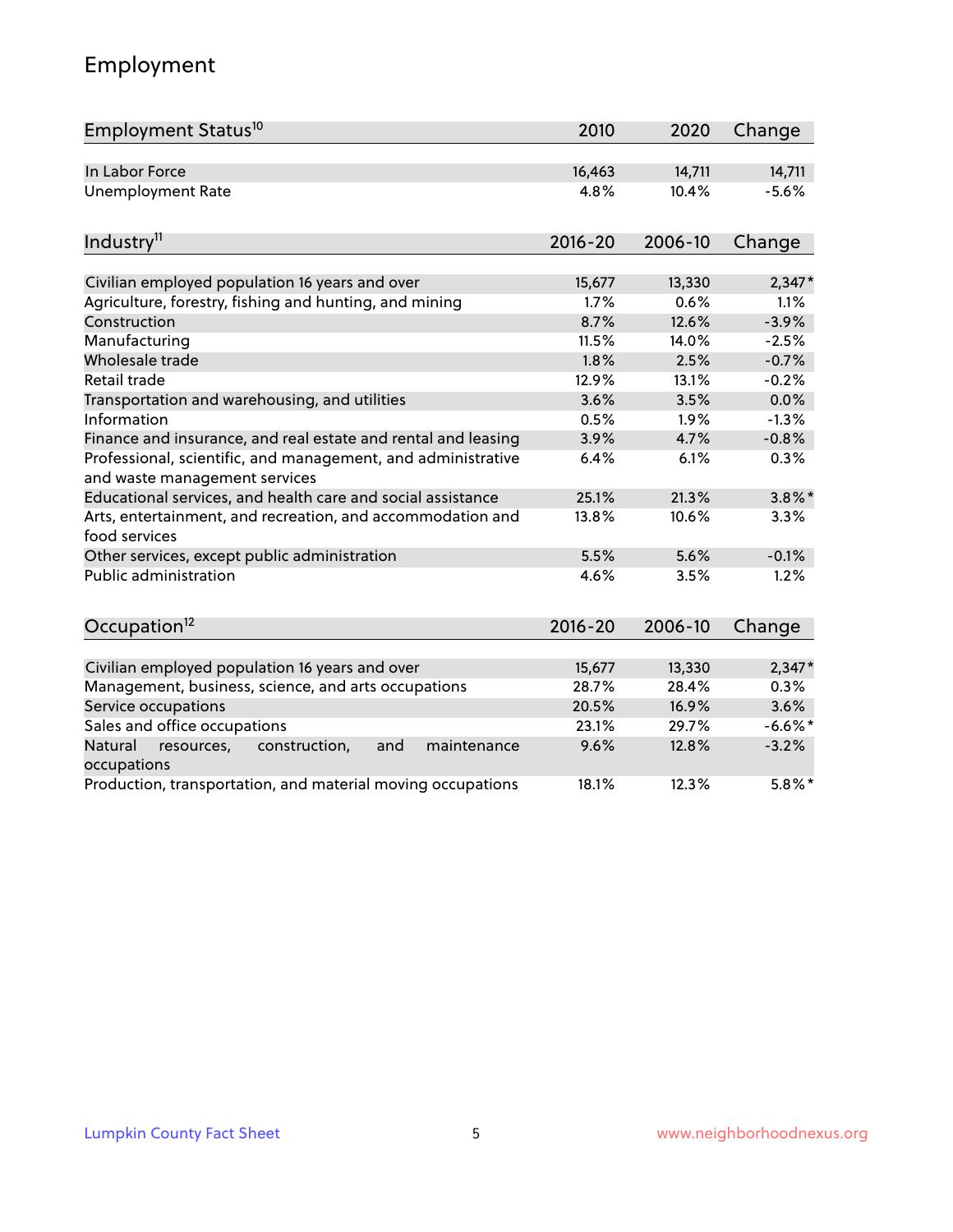# Employment

| Employment Status <sup>10</sup>                                                               | 2010        | 2020    | Change    |
|-----------------------------------------------------------------------------------------------|-------------|---------|-----------|
| In Labor Force                                                                                | 16,463      | 14,711  | 14,711    |
| <b>Unemployment Rate</b>                                                                      | 4.8%        | 10.4%   | $-5.6%$   |
| Industry <sup>11</sup>                                                                        | $2016 - 20$ | 2006-10 | Change    |
| Civilian employed population 16 years and over                                                | 15,677      | 13,330  | $2,347*$  |
| Agriculture, forestry, fishing and hunting, and mining                                        | 1.7%        | 0.6%    | 1.1%      |
| Construction                                                                                  | 8.7%        | 12.6%   | $-3.9%$   |
| Manufacturing                                                                                 | 11.5%       | 14.0%   | $-2.5%$   |
| Wholesale trade                                                                               | 1.8%        | 2.5%    | $-0.7%$   |
| Retail trade                                                                                  | 12.9%       | 13.1%   | $-0.2%$   |
| Transportation and warehousing, and utilities                                                 | 3.6%        | 3.5%    | 0.0%      |
| Information                                                                                   | 0.5%        | 1.9%    | $-1.3%$   |
| Finance and insurance, and real estate and rental and leasing                                 | 3.9%        | 4.7%    | $-0.8%$   |
| Professional, scientific, and management, and administrative<br>and waste management services | 6.4%        | 6.1%    | 0.3%      |
| Educational services, and health care and social assistance                                   | 25.1%       | 21.3%   | $3.8\%$ * |
| Arts, entertainment, and recreation, and accommodation and<br>food services                   | 13.8%       | 10.6%   | 3.3%      |
| Other services, except public administration                                                  | 5.5%        | 5.6%    | $-0.1%$   |
| <b>Public administration</b>                                                                  | 4.6%        | 3.5%    | 1.2%      |
| Occupation <sup>12</sup>                                                                      | $2016 - 20$ | 2006-10 | Change    |
|                                                                                               |             |         |           |
| Civilian employed population 16 years and over                                                | 15,677      | 13,330  | $2,347*$  |
| Management, business, science, and arts occupations                                           | 28.7%       | 28.4%   | 0.3%      |
| Service occupations                                                                           | 20.5%       | 16.9%   | 3.6%      |
| Sales and office occupations                                                                  | 23.1%       | 29.7%   | $-6.6%$ * |
| Natural<br>resources,<br>construction,<br>and<br>maintenance<br>occupations                   | 9.6%        | 12.8%   | $-3.2%$   |
| Production, transportation, and material moving occupations                                   | 18.1%       | 12.3%   | $5.8\%$ * |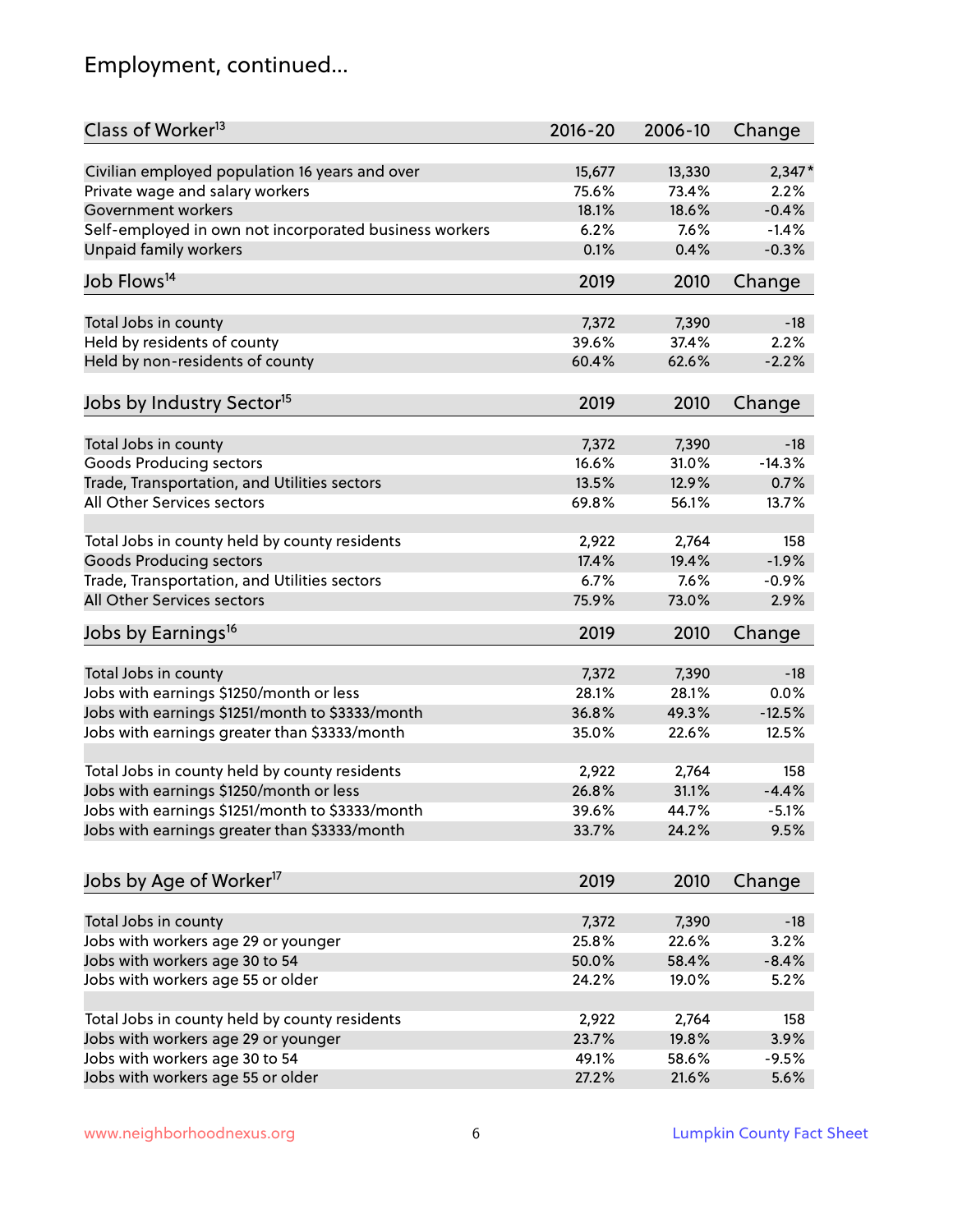# Employment, continued...

| Class of Worker <sup>13</sup>                          | $2016 - 20$ | 2006-10 | Change   |
|--------------------------------------------------------|-------------|---------|----------|
| Civilian employed population 16 years and over         | 15,677      | 13,330  | $2,347*$ |
| Private wage and salary workers                        | 75.6%       | 73.4%   | 2.2%     |
| Government workers                                     | 18.1%       | 18.6%   | $-0.4%$  |
| Self-employed in own not incorporated business workers | 6.2%        | 7.6%    | $-1.4%$  |
| Unpaid family workers                                  | 0.1%        | 0.4%    | $-0.3%$  |
| Job Flows <sup>14</sup>                                | 2019        | 2010    | Change   |
| Total Jobs in county                                   | 7,372       | 7,390   | $-18$    |
| Held by residents of county                            | 39.6%       | 37.4%   | 2.2%     |
| Held by non-residents of county                        | 60.4%       | 62.6%   | $-2.2%$  |
|                                                        |             |         |          |
| Jobs by Industry Sector <sup>15</sup>                  | 2019        | 2010    | Change   |
| Total Jobs in county                                   | 7,372       | 7,390   | $-18$    |
| Goods Producing sectors                                | 16.6%       | 31.0%   | $-14.3%$ |
| Trade, Transportation, and Utilities sectors           | 13.5%       | 12.9%   | 0.7%     |
| All Other Services sectors                             | 69.8%       | 56.1%   | 13.7%    |
|                                                        |             |         |          |
| Total Jobs in county held by county residents          | 2,922       | 2,764   | 158      |
| <b>Goods Producing sectors</b>                         | 17.4%       | 19.4%   | $-1.9%$  |
| Trade, Transportation, and Utilities sectors           | 6.7%        | 7.6%    | $-0.9%$  |
| All Other Services sectors                             | 75.9%       | 73.0%   | 2.9%     |
| Jobs by Earnings <sup>16</sup>                         | 2019        | 2010    | Change   |
|                                                        |             |         |          |
| Total Jobs in county                                   | 7,372       | 7,390   | $-18$    |
| Jobs with earnings \$1250/month or less                | 28.1%       | 28.1%   | 0.0%     |
| Jobs with earnings \$1251/month to \$3333/month        | 36.8%       | 49.3%   | $-12.5%$ |
| Jobs with earnings greater than \$3333/month           | 35.0%       | 22.6%   | 12.5%    |
| Total Jobs in county held by county residents          | 2,922       | 2,764   | 158      |
| Jobs with earnings \$1250/month or less                | 26.8%       | 31.1%   | $-4.4%$  |
| Jobs with earnings \$1251/month to \$3333/month        | 39.6%       | 44.7%   | $-5.1\%$ |
| Jobs with earnings greater than \$3333/month           | 33.7%       | 24.2%   | 9.5%     |
|                                                        |             |         |          |
| Jobs by Age of Worker <sup>17</sup>                    | 2019        | 2010    | Change   |
| Total Jobs in county                                   | 7,372       | 7,390   | $-18$    |
| Jobs with workers age 29 or younger                    | 25.8%       | 22.6%   | 3.2%     |
| Jobs with workers age 30 to 54                         | 50.0%       | 58.4%   | $-8.4%$  |
| Jobs with workers age 55 or older                      | 24.2%       | 19.0%   | 5.2%     |
|                                                        |             |         |          |
| Total Jobs in county held by county residents          | 2,922       | 2,764   | 158      |
| Jobs with workers age 29 or younger                    | 23.7%       | 19.8%   | 3.9%     |
| Jobs with workers age 30 to 54                         | 49.1%       | 58.6%   | $-9.5%$  |
| Jobs with workers age 55 or older                      | 27.2%       | 21.6%   | 5.6%     |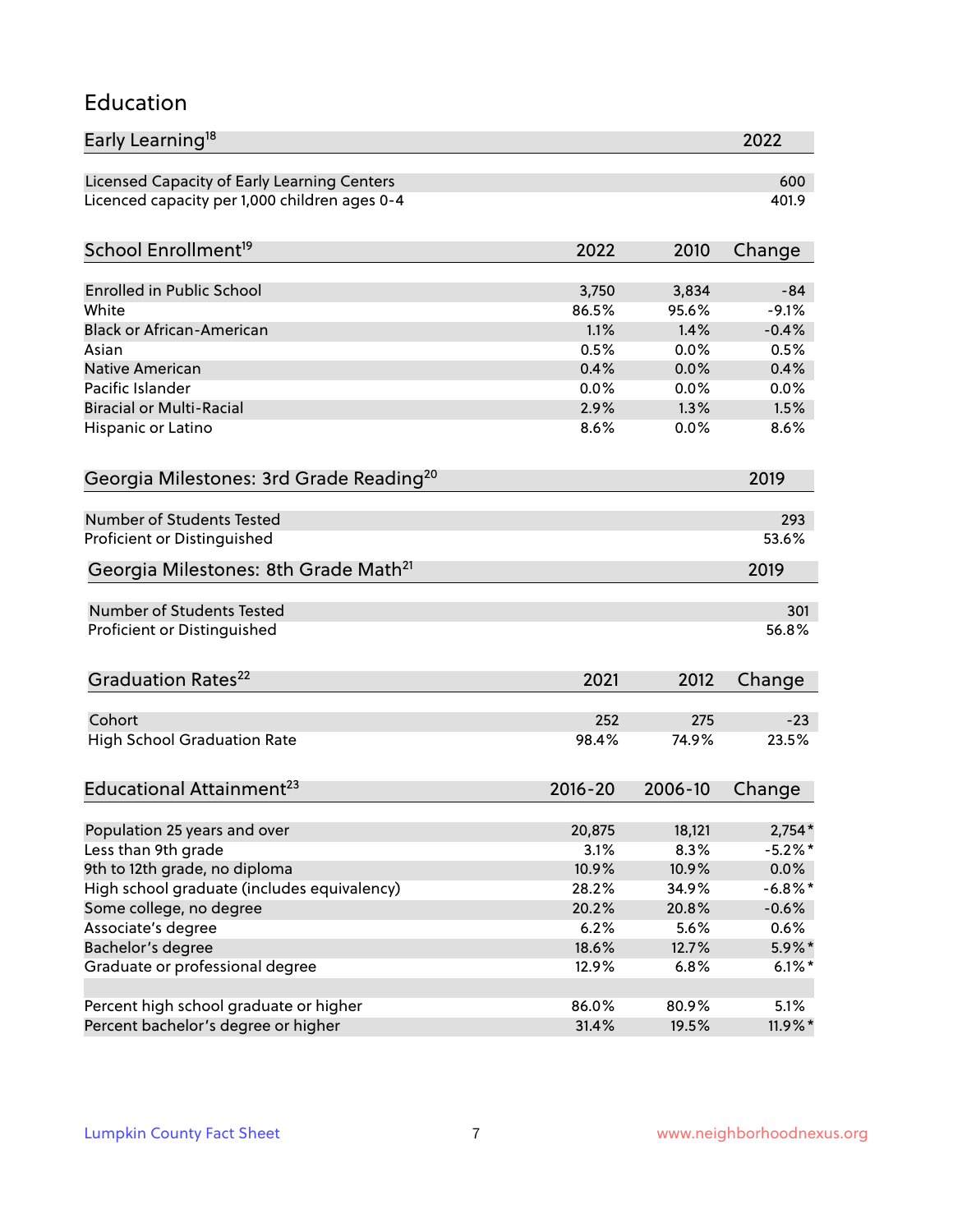### Education

| Early Learning <sup>18</sup>                        |               |               | 2022               |
|-----------------------------------------------------|---------------|---------------|--------------------|
| Licensed Capacity of Early Learning Centers         |               |               | 600                |
| Licenced capacity per 1,000 children ages 0-4       |               |               | 401.9              |
| School Enrollment <sup>19</sup>                     | 2022          | 2010          | Change             |
|                                                     |               |               |                    |
| <b>Enrolled in Public School</b><br>White           | 3,750         | 3,834         | $-84$              |
| <b>Black or African-American</b>                    | 86.5%<br>1.1% | 95.6%<br>1.4% | $-9.1%$<br>$-0.4%$ |
| Asian                                               | 0.5%          | 0.0%          | 0.5%               |
| <b>Native American</b>                              | 0.4%          | 0.0%          | 0.4%               |
| Pacific Islander                                    | 0.0%          | 0.0%          | 0.0%               |
| <b>Biracial or Multi-Racial</b>                     | 2.9%          | 1.3%          | 1.5%               |
| Hispanic or Latino                                  | 8.6%          | 0.0%          | 8.6%               |
|                                                     |               |               |                    |
| Georgia Milestones: 3rd Grade Reading <sup>20</sup> |               |               | 2019               |
| Number of Students Tested                           |               |               | 293                |
| Proficient or Distinguished                         |               |               | 53.6%              |
| Georgia Milestones: 8th Grade Math <sup>21</sup>    |               |               | 2019               |
| Number of Students Tested                           |               |               | 301                |
| Proficient or Distinguished                         |               |               | 56.8%              |
| Graduation Rates <sup>22</sup>                      | 2021          | 2012          | Change             |
| Cohort                                              | 252           | 275           | $-23$              |
| <b>High School Graduation Rate</b>                  | 98.4%         | 74.9%         | 23.5%              |
|                                                     |               |               |                    |
| Educational Attainment <sup>23</sup>                | $2016 - 20$   | 2006-10       | Change             |
| Population 25 years and over                        | 20,875        | 18,121        | $2,754*$           |
| Less than 9th grade                                 | 3.1%          | 8.3%          | $-5.2\%$ *         |
| 9th to 12th grade, no diploma                       | 10.9%         | 10.9%         | 0.0%               |
| High school graduate (includes equivalency)         | 28.2%         | 34.9%         | $-6.8\%$ *         |
| Some college, no degree                             | 20.2%         | 20.8%         | $-0.6%$            |
| Associate's degree                                  | 6.2%          | 5.6%          | 0.6%               |
| Bachelor's degree                                   | 18.6%         | 12.7%         | $5.9\%*$           |
| Graduate or professional degree                     | 12.9%         | 6.8%          | $6.1\%$ *          |
| Percent high school graduate or higher              | 86.0%         | 80.9%         | 5.1%               |
| Percent bachelor's degree or higher                 | 31.4%         | 19.5%         | $11.9\%$ *         |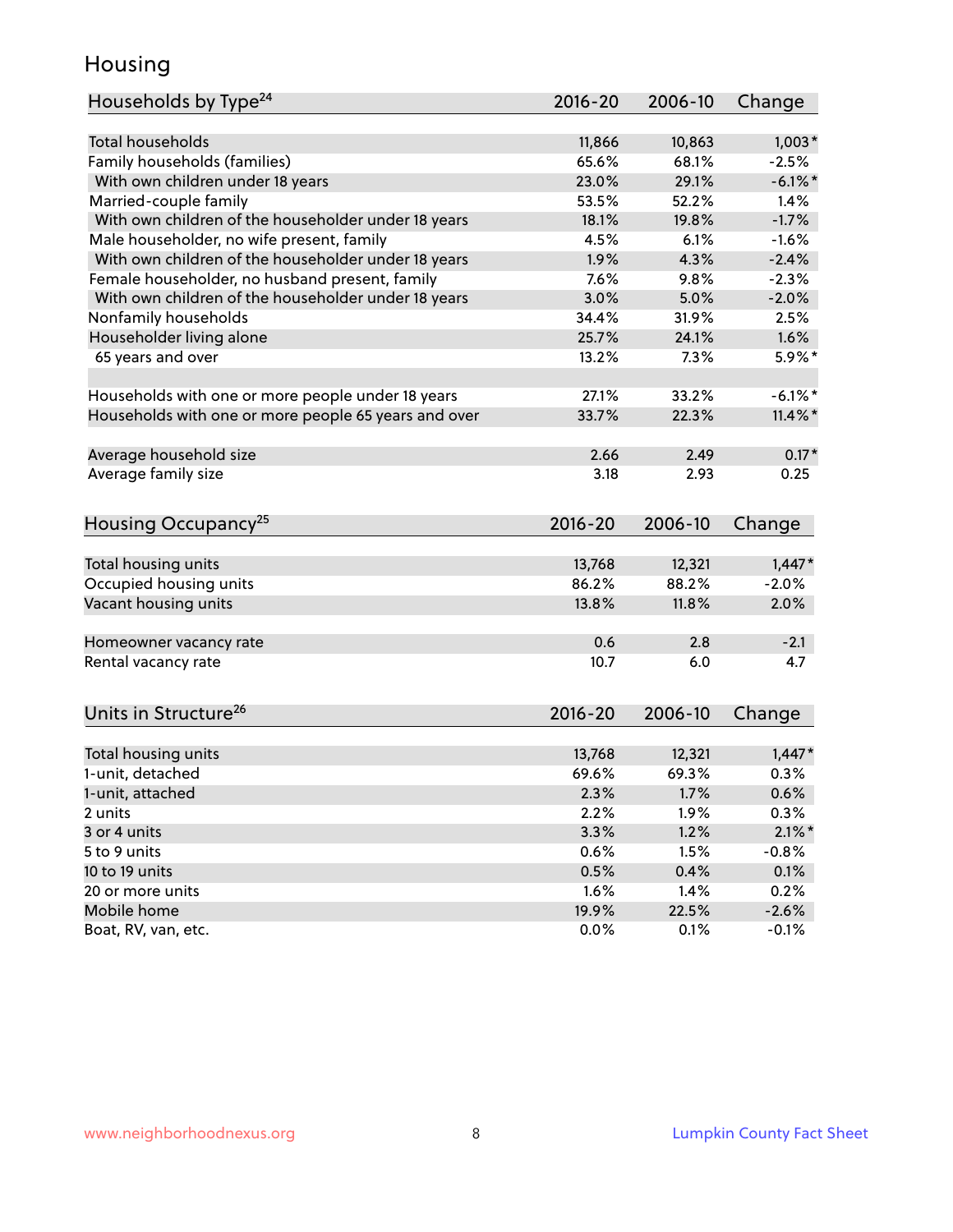### Housing

| Households by Type <sup>24</sup>                     | 2016-20     | 2006-10 | Change     |
|------------------------------------------------------|-------------|---------|------------|
|                                                      |             |         |            |
| <b>Total households</b>                              | 11,866      | 10,863  | $1,003*$   |
| Family households (families)                         | 65.6%       | 68.1%   | $-2.5%$    |
| With own children under 18 years                     | 23.0%       | 29.1%   | $-6.1\%$ * |
| Married-couple family                                | 53.5%       | 52.2%   | 1.4%       |
| With own children of the householder under 18 years  | 18.1%       | 19.8%   | $-1.7%$    |
| Male householder, no wife present, family            | 4.5%        | 6.1%    | $-1.6%$    |
| With own children of the householder under 18 years  | 1.9%        | 4.3%    | $-2.4%$    |
| Female householder, no husband present, family       | 7.6%        | 9.8%    | $-2.3%$    |
| With own children of the householder under 18 years  | 3.0%        | 5.0%    | $-2.0%$    |
| Nonfamily households                                 | 34.4%       | 31.9%   | 2.5%       |
| Householder living alone                             | 25.7%       | 24.1%   | 1.6%       |
| 65 years and over                                    | 13.2%       | 7.3%    | $5.9\%$ *  |
| Households with one or more people under 18 years    | 27.1%       | 33.2%   | $-6.1\%$ * |
| Households with one or more people 65 years and over | 33.7%       | 22.3%   | $11.4\%$ * |
| Average household size                               | 2.66        | 2.49    | $0.17*$    |
| Average family size                                  | 3.18        | 2.93    | 0.25       |
|                                                      |             |         |            |
| Housing Occupancy <sup>25</sup>                      | $2016 - 20$ | 2006-10 | Change     |
| Total housing units                                  | 13,768      | 12,321  | $1,447*$   |
| Occupied housing units                               | 86.2%       | 88.2%   | $-2.0%$    |
| Vacant housing units                                 | 13.8%       | 11.8%   | 2.0%       |
|                                                      |             |         |            |
| Homeowner vacancy rate                               | 0.6         | 2.8     | $-2.1$     |
| Rental vacancy rate                                  | 10.7        | 6.0     | 4.7        |
| Units in Structure <sup>26</sup>                     | 2016-20     | 2006-10 | Change     |
| Total housing units                                  | 13,768      | 12,321  | $1,447*$   |
| 1-unit, detached                                     | 69.6%       | 69.3%   | 0.3%       |
| 1-unit, attached                                     | 2.3%        | 1.7%    | 0.6%       |
| 2 units                                              | 2.2%        | 1.9%    | 0.3%       |
| 3 or 4 units                                         | 3.3%        | 1.2%    | $2.1\%$ *  |
| 5 to 9 units                                         | 0.6%        | 1.5%    | $-0.8%$    |
| 10 to 19 units                                       | 0.5%        | 0.4%    | 0.1%       |
| 20 or more units                                     | 1.6%        | 1.4%    | 0.2%       |
| Mobile home                                          | 19.9%       | 22.5%   | $-2.6%$    |
| Boat, RV, van, etc.                                  | 0.0%        | 0.1%    | $-0.1%$    |
|                                                      |             |         |            |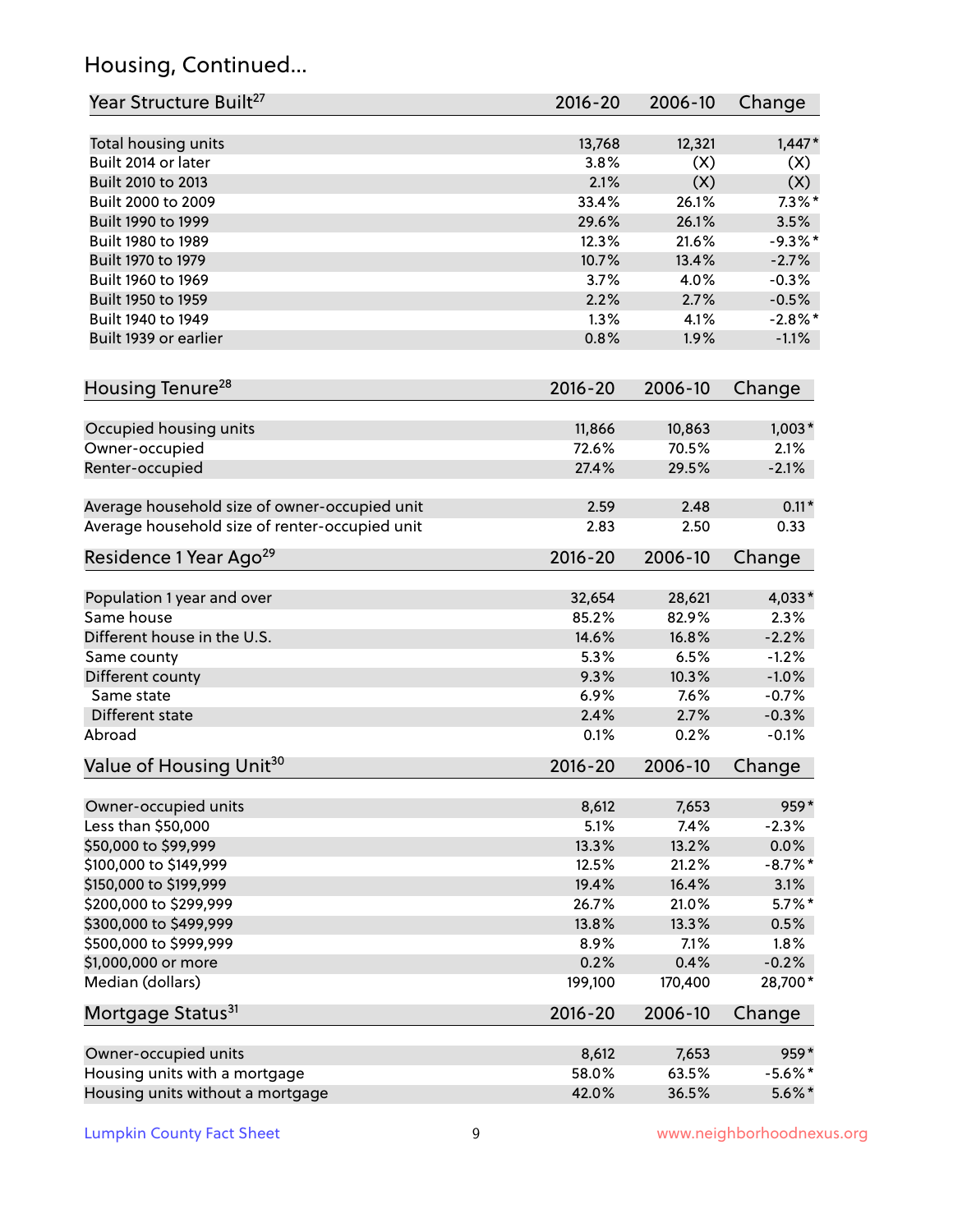# Housing, Continued...

| Year Structure Built <sup>27</sup>             | 2016-20         | 2006-10 | Change     |
|------------------------------------------------|-----------------|---------|------------|
| Total housing units                            | 13,768          | 12,321  | $1,447*$   |
| Built 2014 or later                            | 3.8%            | (X)     | (X)        |
| Built 2010 to 2013                             | 2.1%            | (X)     | (X)        |
| Built 2000 to 2009                             | 33.4%           | 26.1%   | $7.3\%$ *  |
| Built 1990 to 1999                             | 29.6%           | 26.1%   | 3.5%       |
| Built 1980 to 1989                             | 12.3%           | 21.6%   | $-9.3%$    |
| Built 1970 to 1979                             | 10.7%           | 13.4%   | $-2.7%$    |
| Built 1960 to 1969                             | 3.7%            | 4.0%    | $-0.3%$    |
| Built 1950 to 1959                             | 2.2%            | 2.7%    | $-0.5%$    |
| Built 1940 to 1949                             | 1.3%            | 4.1%    | $-2.8\%$ * |
| Built 1939 or earlier                          | 0.8%            | 1.9%    | $-1.1%$    |
| Housing Tenure <sup>28</sup>                   | 2016-20         | 2006-10 | Change     |
|                                                |                 |         |            |
| Occupied housing units                         | 11,866<br>72.6% | 10,863  | $1,003*$   |
| Owner-occupied                                 |                 | 70.5%   | 2.1%       |
| Renter-occupied                                | 27.4%           | 29.5%   | $-2.1%$    |
| Average household size of owner-occupied unit  | 2.59            | 2.48    | $0.11*$    |
| Average household size of renter-occupied unit | 2.83            | 2.50    | 0.33       |
| Residence 1 Year Ago <sup>29</sup>             | 2016-20         | 2006-10 | Change     |
| Population 1 year and over                     | 32,654          | 28,621  | 4,033*     |
| Same house                                     | 85.2%           | 82.9%   | 2.3%       |
| Different house in the U.S.                    | 14.6%           | 16.8%   | $-2.2%$    |
| Same county                                    | 5.3%            | 6.5%    | $-1.2%$    |
| Different county                               | 9.3%            | 10.3%   | $-1.0%$    |
| Same state                                     | 6.9%            | 7.6%    | $-0.7%$    |
| Different state                                | 2.4%            | 2.7%    | $-0.3%$    |
| Abroad                                         | 0.1%            | 0.2%    | $-0.1%$    |
| Value of Housing Unit <sup>30</sup>            | 2016-20         | 2006-10 | Change     |
|                                                |                 |         |            |
| Owner-occupied units                           | 8,612           | 7,653   | 959*       |
| Less than \$50,000                             | 5.1%            | 7.4%    | $-2.3%$    |
| \$50,000 to \$99,999                           | 13.3%           | 13.2%   | $0.0\%$    |
| \$100,000 to \$149,999                         | 12.5%           | 21.2%   | $-8.7\%$ * |
| \$150,000 to \$199,999                         | 19.4%           | 16.4%   | 3.1%       |
| \$200,000 to \$299,999                         | 26.7%           | 21.0%   | $5.7\%$ *  |
| \$300,000 to \$499,999                         | 13.8%           | 13.3%   | 0.5%       |
| \$500,000 to \$999,999                         | 8.9%            | 7.1%    | 1.8%       |
| \$1,000,000 or more                            | 0.2%            | 0.4%    | $-0.2%$    |
| Median (dollars)                               | 199,100         | 170,400 | 28,700*    |
| Mortgage Status <sup>31</sup>                  | $2016 - 20$     | 2006-10 | Change     |
| Owner-occupied units                           | 8,612           | 7,653   | $959*$     |
| Housing units with a mortgage                  | 58.0%           | 63.5%   | $-5.6\%$ * |
| Housing units without a mortgage               | 42.0%           | 36.5%   | $5.6\%$ *  |
|                                                |                 |         |            |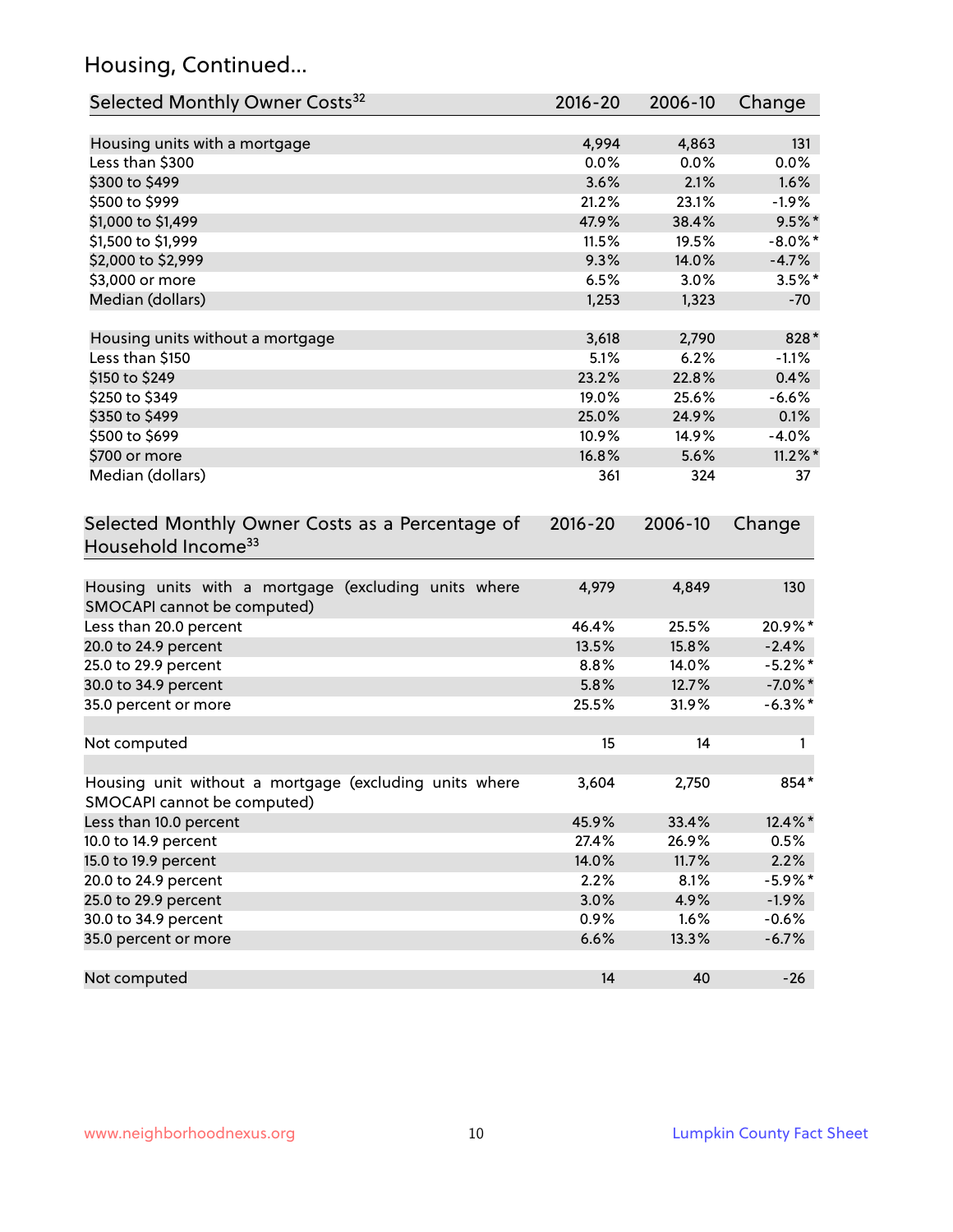# Housing, Continued...

| Selected Monthly Owner Costs <sup>32</sup>                                            | 2016-20     | 2006-10 | Change     |
|---------------------------------------------------------------------------------------|-------------|---------|------------|
| Housing units with a mortgage                                                         | 4,994       | 4,863   | 131        |
| Less than \$300                                                                       | 0.0%        | 0.0%    | 0.0%       |
| \$300 to \$499                                                                        | 3.6%        | 2.1%    | 1.6%       |
| \$500 to \$999                                                                        | 21.2%       | 23.1%   | $-1.9%$    |
| \$1,000 to \$1,499                                                                    | 47.9%       | 38.4%   | $9.5%$ *   |
| \$1,500 to \$1,999                                                                    | 11.5%       | 19.5%   | $-8.0\%$ * |
| \$2,000 to \$2,999                                                                    | 9.3%        | 14.0%   | $-4.7%$    |
| \$3,000 or more                                                                       | 6.5%        | 3.0%    | $3.5%$ *   |
| Median (dollars)                                                                      | 1,253       | 1,323   | $-70$      |
|                                                                                       |             |         |            |
| Housing units without a mortgage                                                      | 3,618       | 2,790   | 828*       |
| Less than \$150                                                                       | 5.1%        | 6.2%    | $-1.1%$    |
| \$150 to \$249                                                                        | 23.2%       | 22.8%   | 0.4%       |
| \$250 to \$349                                                                        | 19.0%       | 25.6%   | $-6.6%$    |
| \$350 to \$499                                                                        | 25.0%       | 24.9%   | 0.1%       |
| \$500 to \$699                                                                        | 10.9%       | 14.9%   | $-4.0%$    |
| \$700 or more                                                                         | 16.8%       | 5.6%    | $11.2\%$ * |
| Median (dollars)                                                                      | 361         | 324     | 37         |
| Selected Monthly Owner Costs as a Percentage of<br>Household Income <sup>33</sup>     | $2016 - 20$ | 2006-10 | Change     |
| Housing units with a mortgage (excluding units where<br>SMOCAPI cannot be computed)   | 4,979       | 4,849   | 130        |
| Less than 20.0 percent                                                                | 46.4%       | 25.5%   | 20.9%*     |
| 20.0 to 24.9 percent                                                                  | 13.5%       | 15.8%   | $-2.4%$    |
| 25.0 to 29.9 percent                                                                  | 8.8%        | 14.0%   | $-5.2\%$ * |
| 30.0 to 34.9 percent                                                                  | 5.8%        | 12.7%   | $-7.0\%$ * |
| 35.0 percent or more                                                                  | 25.5%       | 31.9%   | $-6.3\%$ * |
| Not computed                                                                          | 15          | 14      | 1          |
| Housing unit without a mortgage (excluding units where<br>SMOCAPI cannot be computed) | 3,604       | 2,750   | $854*$     |
| Less than 10.0 percent                                                                | 45.9%       | 33.4%   | 12.4%*     |
| 10.0 to 14.9 percent                                                                  | 27.4%       | 26.9%   | 0.5%       |
| 15.0 to 19.9 percent                                                                  | 14.0%       | 11.7%   | 2.2%       |
| 20.0 to 24.9 percent                                                                  | 2.2%        | 8.1%    | $-5.9\%$ * |
| 25.0 to 29.9 percent                                                                  | 3.0%        | 4.9%    | $-1.9%$    |
| 30.0 to 34.9 percent                                                                  | 0.9%        | 1.6%    | $-0.6%$    |
| 35.0 percent or more                                                                  | 6.6%        | 13.3%   | $-6.7%$    |
| Not computed                                                                          | 14          | 40      | $-26$      |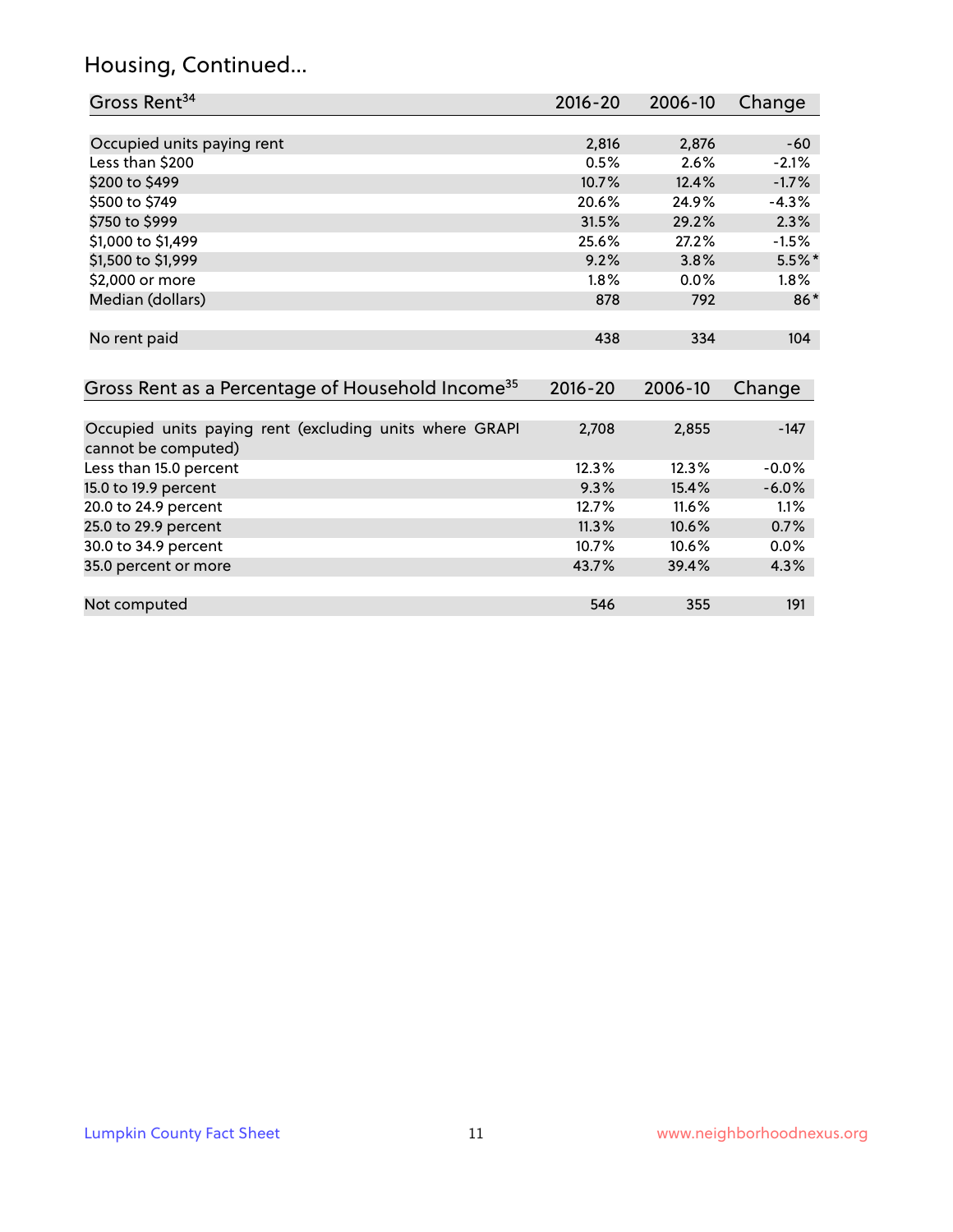# Housing, Continued...

| Gross Rent <sup>34</sup>                                                       | 2016-20     | 2006-10 | Change   |
|--------------------------------------------------------------------------------|-------------|---------|----------|
|                                                                                |             |         |          |
| Occupied units paying rent                                                     | 2,816       | 2,876   | $-60$    |
| Less than \$200                                                                | 0.5%        | 2.6%    | $-2.1%$  |
| \$200 to \$499                                                                 | 10.7%       | 12.4%   | $-1.7%$  |
| \$500 to \$749                                                                 | 20.6%       | 24.9%   | $-4.3%$  |
| \$750 to \$999                                                                 | 31.5%       | 29.2%   | 2.3%     |
| \$1,000 to \$1,499                                                             | 25.6%       | 27.2%   | $-1.5%$  |
| \$1,500 to \$1,999                                                             | 9.2%        | 3.8%    | $5.5%$ * |
| \$2,000 or more                                                                | 1.8%        | 0.0%    | $1.8\%$  |
| Median (dollars)                                                               | 878         | 792     | $86*$    |
| No rent paid                                                                   | 438         | 334     | 104      |
| Gross Rent as a Percentage of Household Income <sup>35</sup>                   | $2016 - 20$ | 2006-10 | Change   |
| Occupied units paying rent (excluding units where GRAPI<br>cannot be computed) | 2,708       | 2,855   | $-147$   |
| Less than 15.0 percent                                                         | 12.3%       | 12.3%   | $-0.0%$  |
| 15.0 to 19.9 percent                                                           | 9.3%        | 15.4%   | $-6.0%$  |
| 20.0 to 24.9 percent                                                           | 12.7%       | 11.6%   | 1.1%     |
| 25.0 to 29.9 percent                                                           | 11.3%       | 10.6%   | 0.7%     |
| 30.0 to 34.9 percent                                                           | 10.7%       | 10.6%   | 0.0%     |
| 35.0 percent or more                                                           | 43.7%       | 39.4%   | 4.3%     |
| Not computed                                                                   | 546         | 355     | 191      |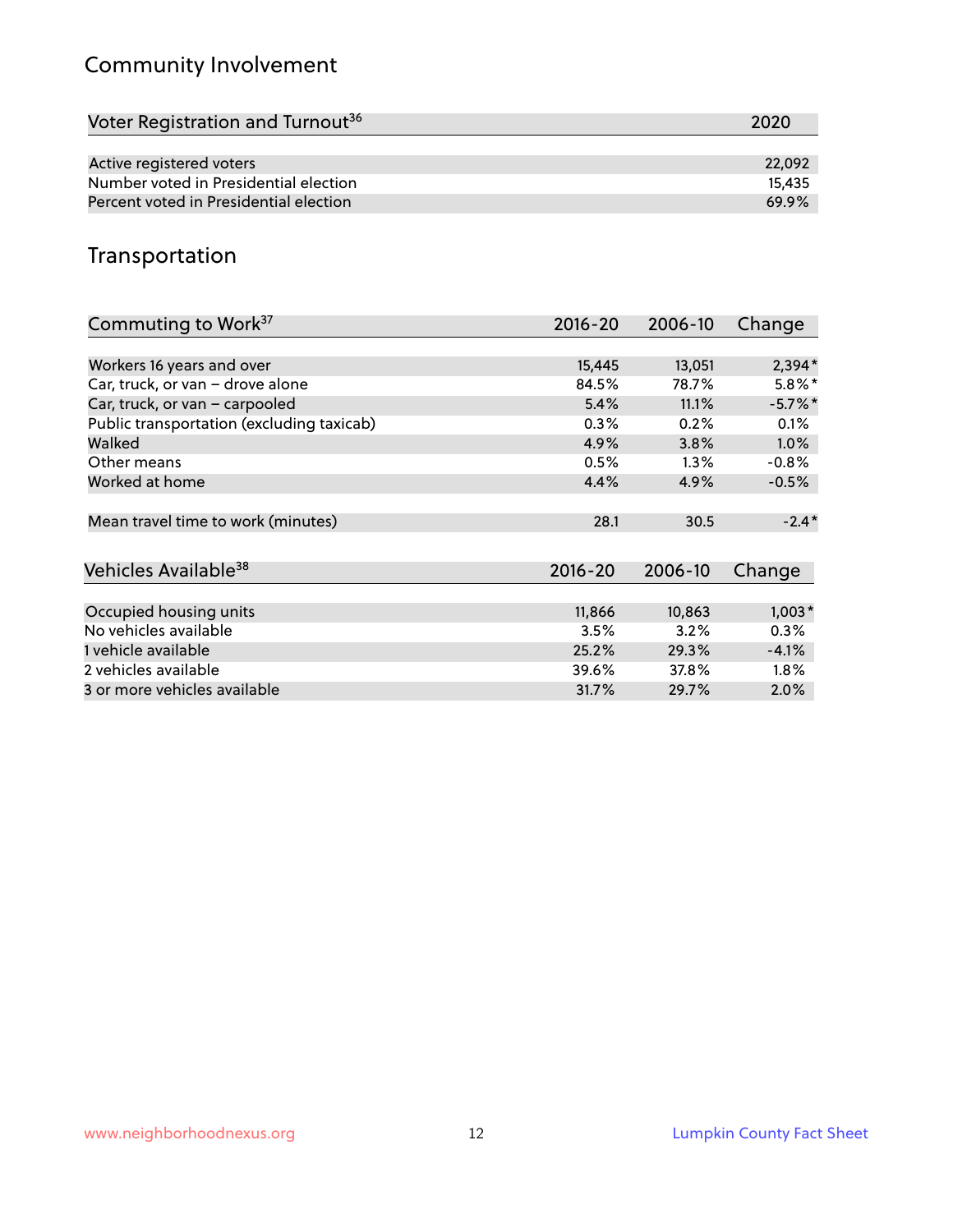# Community Involvement

| Voter Registration and Turnout <sup>36</sup> | 2020   |
|----------------------------------------------|--------|
|                                              |        |
| Active registered voters                     | 22.092 |
| Number voted in Presidential election        | 15.435 |
| Percent voted in Presidential election       | 69.9%  |

## Transportation

| Commuting to Work <sup>37</sup>           | 2016-20     | 2006-10 | Change    |
|-------------------------------------------|-------------|---------|-----------|
|                                           |             |         |           |
| Workers 16 years and over                 | 15,445      | 13,051  | $2,394*$  |
| Car, truck, or van - drove alone          | 84.5%       | 78.7%   | $5.8\%$ * |
| Car, truck, or van - carpooled            | 5.4%        | 11.1%   | $-5.7%$ * |
| Public transportation (excluding taxicab) | 0.3%        | 0.2%    | 0.1%      |
| Walked                                    | 4.9%        | 3.8%    | $1.0\%$   |
| Other means                               | 0.5%        | $1.3\%$ | $-0.8%$   |
| Worked at home                            | 4.4%        | 4.9%    | $-0.5%$   |
|                                           |             |         |           |
| Mean travel time to work (minutes)        | 28.1        | 30.5    | $-2.4*$   |
|                                           |             |         |           |
| Vehicles Available <sup>38</sup>          | $2016 - 20$ | 2006-10 | Change    |
|                                           |             |         |           |
| Occupied housing units                    | 11,866      | 10,863  | $1,003*$  |
| No vehicles available                     | 3.5%        | 3.2%    | 0.3%      |
| 1 vehicle available                       | 25.2%       | 29.3%   | $-4.1%$   |
| 2 vehicles available                      | 39.6%       | 37.8%   | 1.8%      |
| 3 or more vehicles available              | 31.7%       | 29.7%   | $2.0\%$   |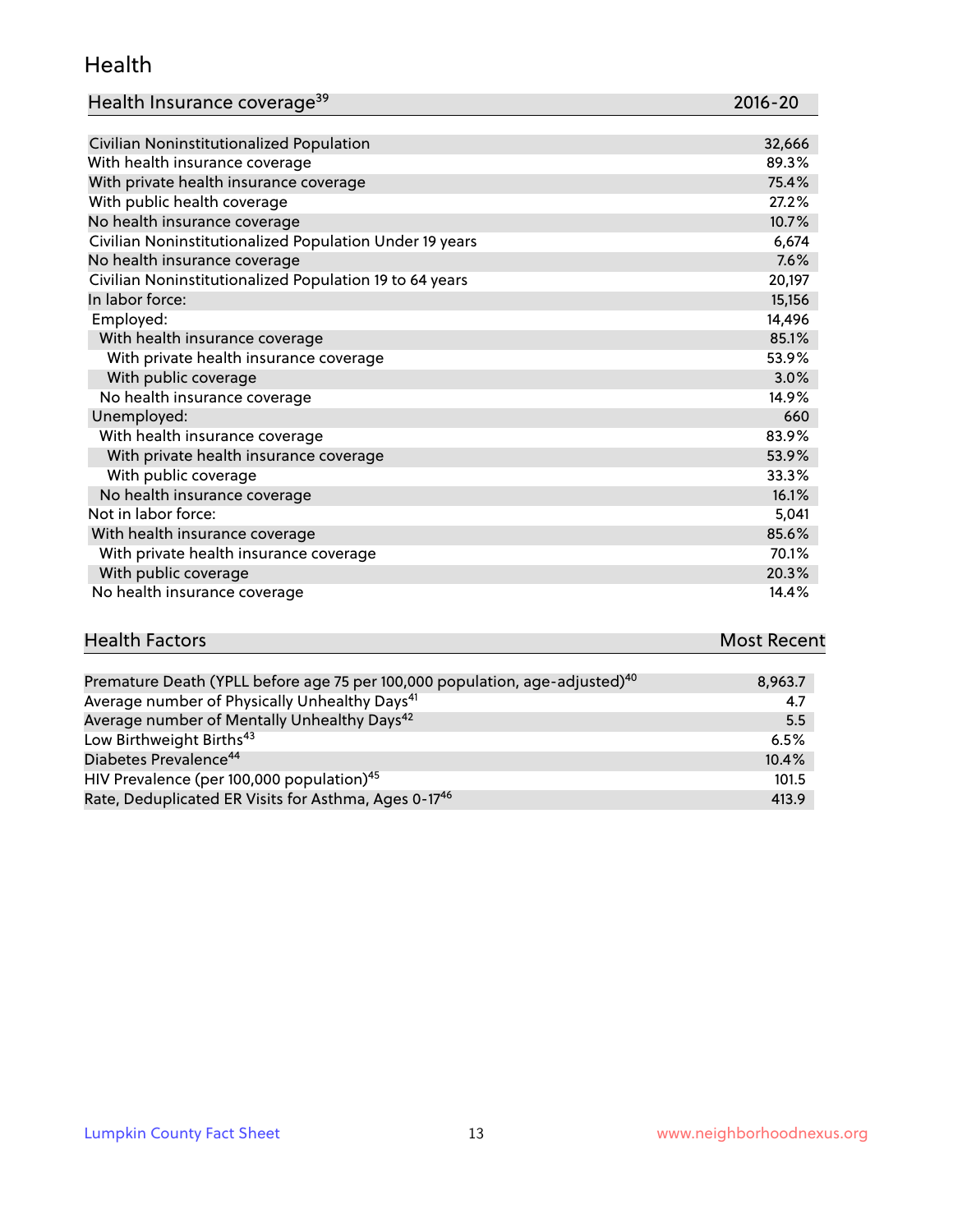#### Health

| Health Insurance coverage <sup>39</sup> | 2016-20 |
|-----------------------------------------|---------|
|-----------------------------------------|---------|

| Civilian Noninstitutionalized Population                | 32,666 |
|---------------------------------------------------------|--------|
| With health insurance coverage                          | 89.3%  |
| With private health insurance coverage                  | 75.4%  |
| With public health coverage                             | 27.2%  |
| No health insurance coverage                            | 10.7%  |
| Civilian Noninstitutionalized Population Under 19 years | 6,674  |
| No health insurance coverage                            | 7.6%   |
| Civilian Noninstitutionalized Population 19 to 64 years | 20,197 |
| In labor force:                                         | 15,156 |
| Employed:                                               | 14,496 |
| With health insurance coverage                          | 85.1%  |
| With private health insurance coverage                  | 53.9%  |
| With public coverage                                    | 3.0%   |
| No health insurance coverage                            | 14.9%  |
| Unemployed:                                             | 660    |
| With health insurance coverage                          | 83.9%  |
| With private health insurance coverage                  | 53.9%  |
| With public coverage                                    | 33.3%  |
| No health insurance coverage                            | 16.1%  |
| Not in labor force:                                     | 5,041  |
| With health insurance coverage                          | 85.6%  |
| With private health insurance coverage                  | 70.1%  |
| With public coverage                                    | 20.3%  |
| No health insurance coverage                            | 14.4%  |

| <b>Health Factors</b> | <b>Most Recent</b> |
|-----------------------|--------------------|
|                       |                    |

| Premature Death (YPLL before age 75 per 100,000 population, age-adjusted) <sup>40</sup> | 8,963.7 |
|-----------------------------------------------------------------------------------------|---------|
| Average number of Physically Unhealthy Days <sup>41</sup>                               | 4.7     |
| Average number of Mentally Unhealthy Days <sup>42</sup>                                 | 5.5     |
| Low Birthweight Births <sup>43</sup>                                                    | 6.5%    |
| Diabetes Prevalence <sup>44</sup>                                                       | 10.4%   |
| HIV Prevalence (per 100,000 population) <sup>45</sup>                                   | 101.5   |
| Rate, Deduplicated ER Visits for Asthma, Ages 0-17 <sup>46</sup>                        | 413.9   |